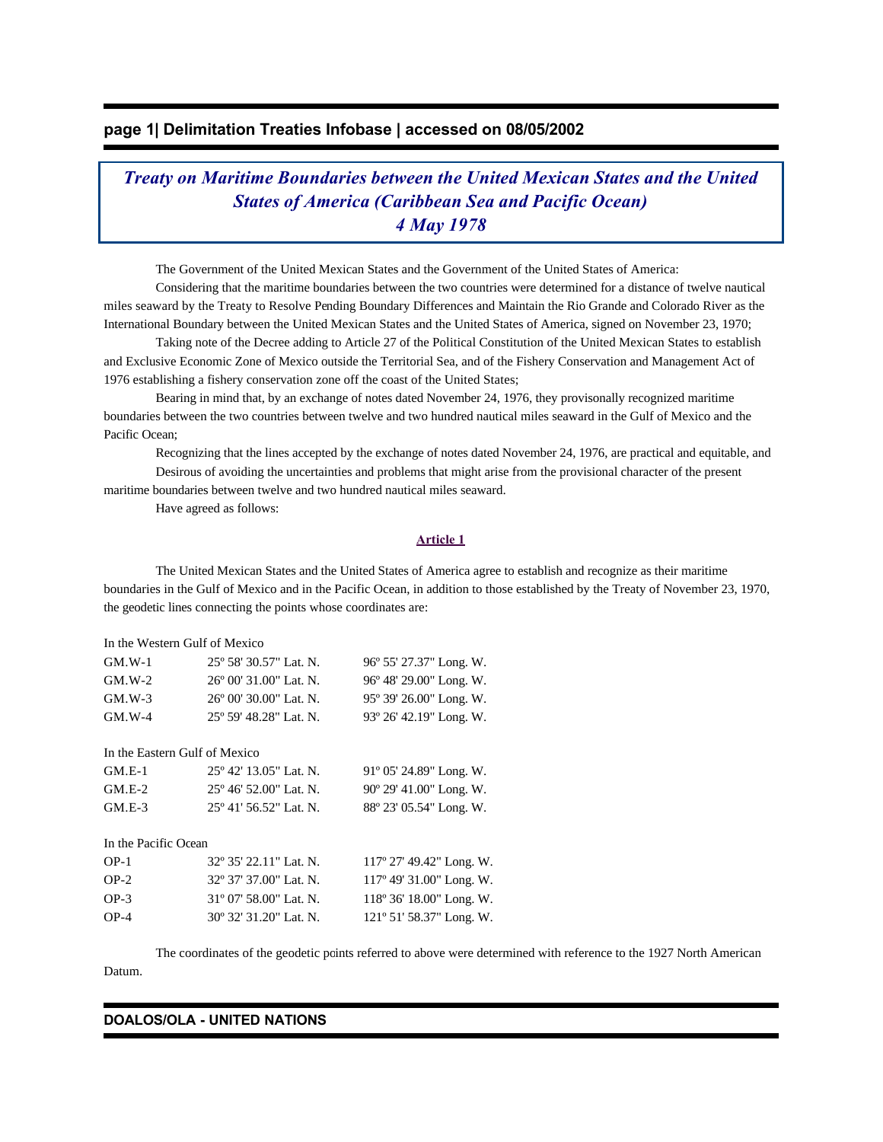# **page 1| Delimitation Treaties Infobase | accessed on 08/05/2002**

*Treaty on Maritime Boundaries between the United Mexican States and the United States of America (Caribbean Sea and Pacific Ocean) 4 May 1978*

The Government of the United Mexican States and the Government of the United States of America:

 Considering that the maritime boundaries between the two countries were determined for a distance of twelve nautical miles seaward by the Treaty to Resolve Pending Boundary Differences and Maintain the Rio Grande and Colorado River as the International Boundary between the United Mexican States and the United States of America, signed on November 23, 1970;

 Taking note of the Decree adding to Article 27 of the Political Constitution of the United Mexican States to establish and Exclusive Economic Zone of Mexico outside the Territorial Sea, and of the Fishery Conservation and Management Act of 1976 establishing a fishery conservation zone off the coast of the United States;

 Bearing in mind that, by an exchange of notes dated November 24, 1976, they provisonally recognized maritime boundaries between the two countries between twelve and two hundred nautical miles seaward in the Gulf of Mexico and the Pacific Ocean;

 Recognizing that the lines accepted by the exchange of notes dated November 24, 1976, are practical and equitable, and Desirous of avoiding the uncertainties and problems that might arise from the provisional character of the present maritime boundaries between twelve and two hundred nautical miles seaward.

Have agreed as follows:

### **Article 1**

 The United Mexican States and the United States of America agree to establish and recognize as their maritime boundaries in the Gulf of Mexico and in the Pacific Ocean, in addition to those established by the Treaty of November 23, 1970, the geodetic lines connecting the points whose coordinates are:

| In the Western Gulf of Mexico |
|-------------------------------|
|-------------------------------|

| $GM.W-1$ | $25^{\circ}$ 58' 30.57" Lat. N. | 96° 55′ 27.37″ Long. W.          |
|----------|---------------------------------|----------------------------------|
| $GM.W-2$ | $26^{\circ}$ 00' 31.00" Lat. N. | 96° 48′ 29.00″ Long. W.          |
| $GM.W-3$ | $26^{\circ}$ 00' 30.00" Lat. N. | 95° 39′ 26.00″ Long. W.          |
| $GM.W-4$ | 25° 59′ 48.28″ Lat. N.          | $93^{\circ}$ 26' 42.19" Long. W. |

In the Eastern Gulf of Mexico

| $GM.E-1$ | $25^{\circ}$ 42' 13.05" Lat. N. | $91^{\circ}$ 05' 24.89" Long. W. |
|----------|---------------------------------|----------------------------------|
| $GM.E-2$ | $25^{\circ}$ 46' 52.00" Lat. N. | $90^{\circ}$ 29' 41.00" Long. W. |
| $GM.E-3$ | $25^{\circ}$ 41' 56.52" Lat. N. | 88° 23′ 05.54″ Long. W.          |

In the Pacific Ocean

| $OP-1$ | $32^{\circ}35'22.11"$ Lat. N.   | $117^{\circ}$ 27' 49.42" Long. W.  |
|--------|---------------------------------|------------------------------------|
| $OP-2$ | 32° 37′ 37.00″ Lat. N.          | $117^{\circ}$ 49' 31.00" Long. W.  |
| $OP-3$ | $31^{\circ}$ 07' 58.00" Lat. N. | $118^{\circ} 36' 18.00''$ Long. W. |
| $OP-4$ | 30° 32′ 31.20″ Lat. N.          | $121^{\circ}$ 51' 58.37" Long. W.  |

 The coordinates of the geodetic points referred to above were determined with reference to the 1927 North American Datum.

#### **DOALOS/OLA - UNITED NATIONS**